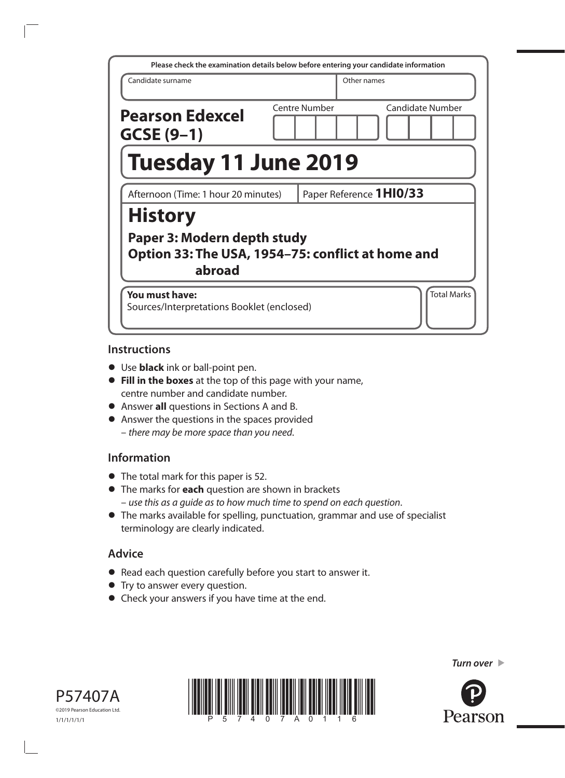|                                                                                            | Please check the examination details below before entering your candidate information |
|--------------------------------------------------------------------------------------------|---------------------------------------------------------------------------------------|
| Candidate surname                                                                          | Other names                                                                           |
| <b>Pearson Edexcel</b><br>$GCSE(9-1)$                                                      | Centre Number<br><b>Candidate Number</b>                                              |
| <b>Tuesday 11 June 2019</b>                                                                |                                                                                       |
| Afternoon (Time: 1 hour 20 minutes)                                                        | Paper Reference 1H10/33                                                               |
| <b>History</b>                                                                             |                                                                                       |
| Paper 3: Modern depth study<br>Option 33: The USA, 1954-75: conflict at home and<br>abroad |                                                                                       |
| You must have:<br>Sources/Interpretations Booklet (enclosed)                               | <b>Total Marks</b>                                                                    |

#### **Instructions**

- **•** Use **black** ink or ball-point pen.
- **• Fill in the boxes** at the top of this page with your name, centre number and candidate number.
- **•** Answer **all** questions in Sections A and B.
- **•** Answer the questions in the spaces provided – *there may be more space than you need*.

#### **Information**

- **•** The total mark for this paper is 52.
- **•** The marks for **each** question are shown in brackets – *use this as a guide as to how much time to spend on each question*.
- **•** The marks available for spelling, punctuation, grammar and use of specialist terminology are clearly indicated.

#### **Advice**

- **•** Read each question carefully before you start to answer it.
- **•** Try to answer every question.
- **•** Check your answers if you have time at the end.





*Turn over* 

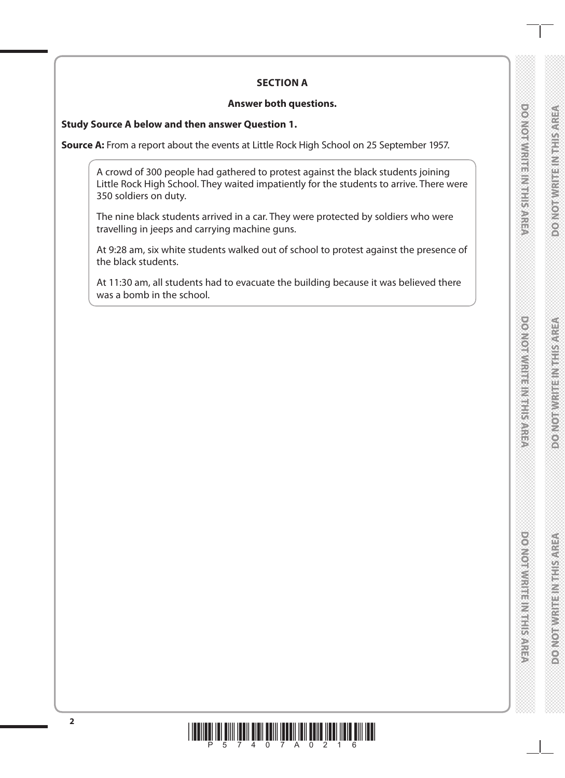**DOMOROM SERVICE STATE** 

# **DOMORAGE HEATHER**

**DOMORATION ENTITLES** 

**Doctory MRTH NUTHERNES** 

#### **SECTION A**

#### **Answer both questions.**

#### **Study Source A below and then answer Question 1.**

**Source A:** From a report about the events at Little Rock High School on 25 September 1957.

A crowd of 300 people had gathered to protest against the black students joining Little Rock High School. They waited impatiently for the students to arrive. There were 350 soldiers on duty.

The nine black students arrived in a car. They were protected by soldiers who were travelling in jeeps and carrying machine guns.

At 9:28 am, six white students walked out of school to protest against the presence of the black students.

At 11:30 am, all students had to evacuate the building because it was believed there was a bomb in the school.

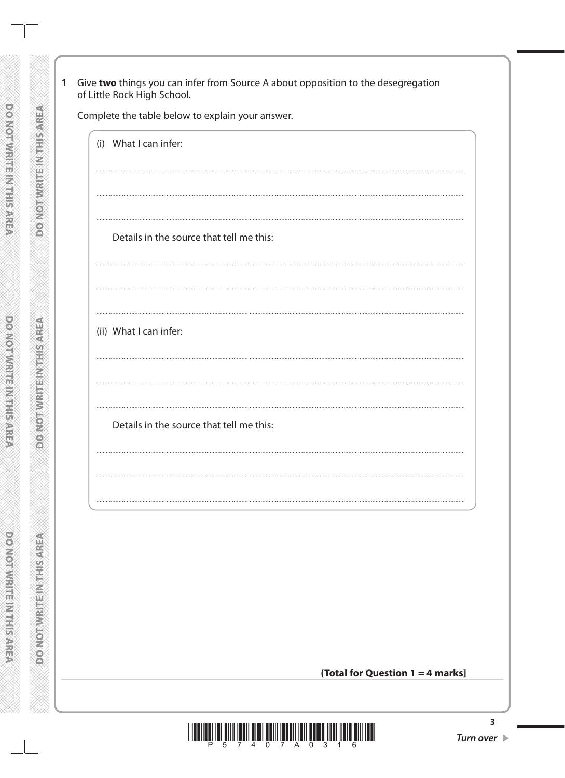Give two things you can infer from Source A about opposition to the desegregation  $\mathbf{1}$ of Little Rock High School.

Complete the table below to explain your answer.

| <br>Details in the source that tell me this: |  |
|----------------------------------------------|--|
| (ii) What I can infer:                       |  |
| Details in the source that tell me this:     |  |
|                                              |  |
|                                              |  |
|                                              |  |



 $\overline{\mathbf{3}}$ 

**DO NOTWRITEINITE SARE** 

**CENTRAL PRODUCTIONS OF PRODUCT** 

**DONOTWRITEN MILLISTREET**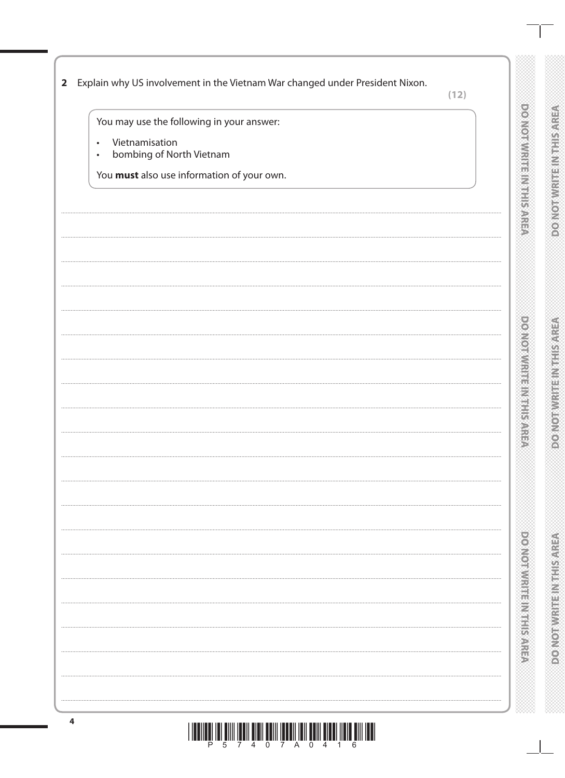|  |  | 2 Explain why US involvement in the Vietnam War changed under President Nixon. |  |  |
|--|--|--------------------------------------------------------------------------------|--|--|
|--|--|--------------------------------------------------------------------------------|--|--|

You may use the following in your answer:

- Vietnamisation  $\ddot{\phantom{0}}$
- bombing of North Vietnam  $\bullet$

You must also use information of your own.

**DO NOTWRITEIN IT: ISAREA** 

**DOMOTIVIRE INTERNATE AREA** 

DONOTWRITE IN THIS AREA

**DONOTHERNER MAND** 

**DOMOTIVE HARTISARE** 

**DONOTWRITENWIHSWREA** 

 $\parallel$ Ш <u>TETH HITLE HITLE HITLE HITLE HITLE</u> 0 7 A 0 4 1 6 Έ  $\overline{5}$  $7 - 4$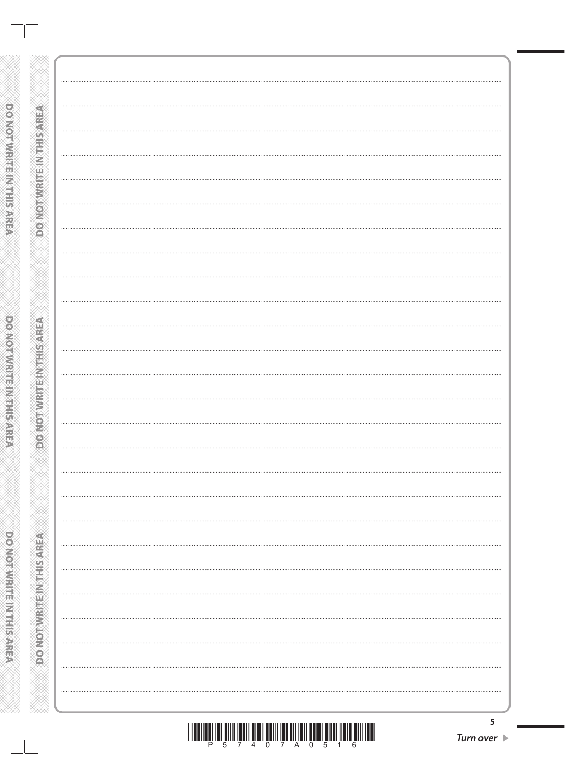| <b>PONOTAVE IT NEEDS ONGE</b> |  |
|-------------------------------|--|
|                               |  |
|                               |  |
|                               |  |
|                               |  |
|                               |  |
|                               |  |
|                               |  |
|                               |  |
| <b>MARINE MARINE STATE</b>    |  |
|                               |  |
|                               |  |
|                               |  |
|                               |  |
|                               |  |
|                               |  |
|                               |  |
|                               |  |
| <b>DONOTWEEDNESS ROOM</b>     |  |
|                               |  |
|                               |  |
|                               |  |

 $\mathbb{R}$ 

DO NOT WRITE IN THIS AREA

**DOOMORDIE MATERIALS AREA** 

**DO NOT WRITE IN THE REFER** 

 $\Box$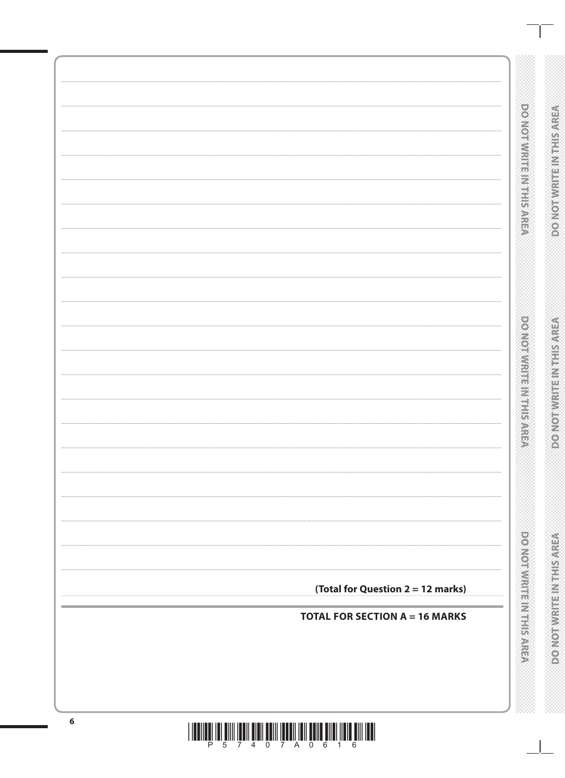|  |  |  | ¥       |  |   |  |
|--|--|--|---------|--|---|--|
|  |  |  |         |  |   |  |
|  |  |  | m<br>Ca |  |   |  |
|  |  |  |         |  |   |  |
|  |  |  |         |  |   |  |
|  |  |  |         |  |   |  |
|  |  |  |         |  |   |  |
|  |  |  |         |  |   |  |
|  |  |  |         |  |   |  |
|  |  |  |         |  |   |  |
|  |  |  |         |  |   |  |
|  |  |  |         |  |   |  |
|  |  |  |         |  |   |  |
|  |  |  |         |  |   |  |
|  |  |  |         |  |   |  |
|  |  |  |         |  |   |  |
|  |  |  |         |  |   |  |
|  |  |  |         |  |   |  |
|  |  |  |         |  |   |  |
|  |  |  |         |  |   |  |
|  |  |  |         |  |   |  |
|  |  |  |         |  |   |  |
|  |  |  |         |  |   |  |
|  |  |  |         |  |   |  |
|  |  |  |         |  |   |  |
|  |  |  |         |  |   |  |
|  |  |  |         |  |   |  |
|  |  |  |         |  |   |  |
|  |  |  |         |  |   |  |
|  |  |  |         |  |   |  |
|  |  |  |         |  |   |  |
|  |  |  |         |  |   |  |
|  |  |  |         |  |   |  |
|  |  |  |         |  |   |  |
|  |  |  |         |  |   |  |
|  |  |  |         |  |   |  |
|  |  |  |         |  |   |  |
|  |  |  |         |  |   |  |
|  |  |  |         |  |   |  |
|  |  |  |         |  |   |  |
|  |  |  |         |  |   |  |
|  |  |  |         |  |   |  |
|  |  |  |         |  |   |  |
|  |  |  |         |  |   |  |
|  |  |  |         |  |   |  |
|  |  |  |         |  |   |  |
|  |  |  |         |  | ١ |  |
|  |  |  |         |  |   |  |
|  |  |  |         |  |   |  |
|  |  |  |         |  |   |  |
|  |  |  |         |  |   |  |
|  |  |  |         |  |   |  |
|  |  |  |         |  |   |  |
|  |  |  |         |  |   |  |
|  |  |  |         |  |   |  |
|  |  |  |         |  |   |  |
|  |  |  |         |  |   |  |
|  |  |  |         |  |   |  |
|  |  |  |         |  |   |  |

DO NOTWRITE IN THIS AREA DONOTWRITEINTHISAREA DOMOTWRITE/MTHIS/AREA (Total for Question 2 = 12 marks) **TOTAL FOR SECTION A = 16 MARKS**  $\boldsymbol{6}$  $\parallel$ 

HI

Ē  $\overline{5}$  $\frac{1}{7}$  $\overline{4}$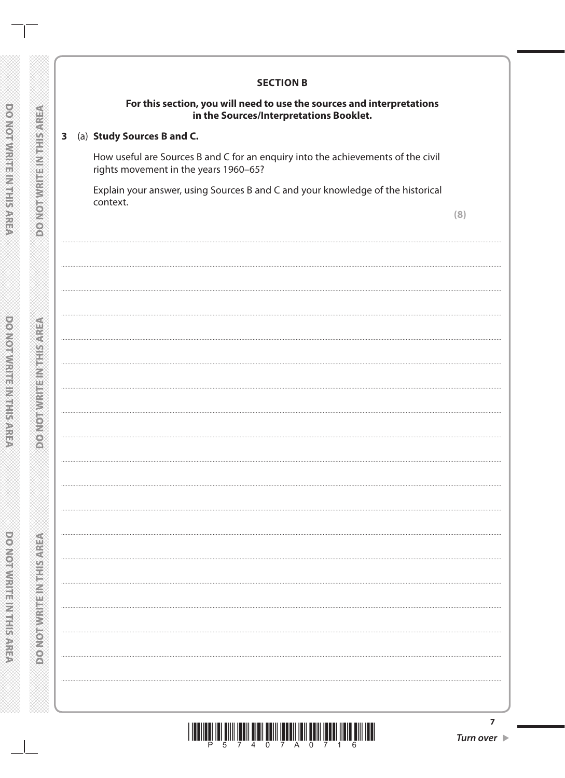#### **SECTION B**

#### For this section, you will need to use the sources and interpretations in the Sources/Interpretations Booklet.

#### 3 (a) Study Sources B and C.

How useful are Sources B and C for an enquiry into the achievements of the civil rights movement in the years 1960-65?

Explain your answer, using Sources B and C and your knowledge of the historical context.

|        | ~~~~~~~~~~~~~~~~~~~~ |
|--------|----------------------|
|        |                      |
|        |                      |
|        |                      |
|        |                      |
|        |                      |
|        |                      |
|        |                      |
|        |                      |
|        |                      |
|        |                      |
|        |                      |
|        |                      |
|        |                      |
|        |                      |
|        |                      |
|        |                      |
|        |                      |
|        |                      |
|        |                      |
|        |                      |
|        |                      |
|        |                      |
|        |                      |
|        |                      |
|        |                      |
|        |                      |
|        |                      |
|        |                      |
|        |                      |
|        |                      |
|        |                      |
|        |                      |
|        |                      |
|        |                      |
|        |                      |
|        |                      |
|        |                      |
|        |                      |
|        |                      |
|        | 1<br>1               |
|        |                      |
|        |                      |
|        |                      |
|        |                      |
|        |                      |
| ï      |                      |
|        |                      |
|        |                      |
|        |                      |
|        |                      |
|        |                      |
|        |                      |
|        |                      |
|        |                      |
|        |                      |
|        |                      |
|        |                      |
|        |                      |
|        |                      |
|        |                      |
|        |                      |
|        |                      |
|        |                      |
|        |                      |
| S<br>ï | ξ<br>i<br>X          |
|        |                      |



**DONOHWRITHNIFISHREA** 

**DOATOFNIERE INTE SAREA**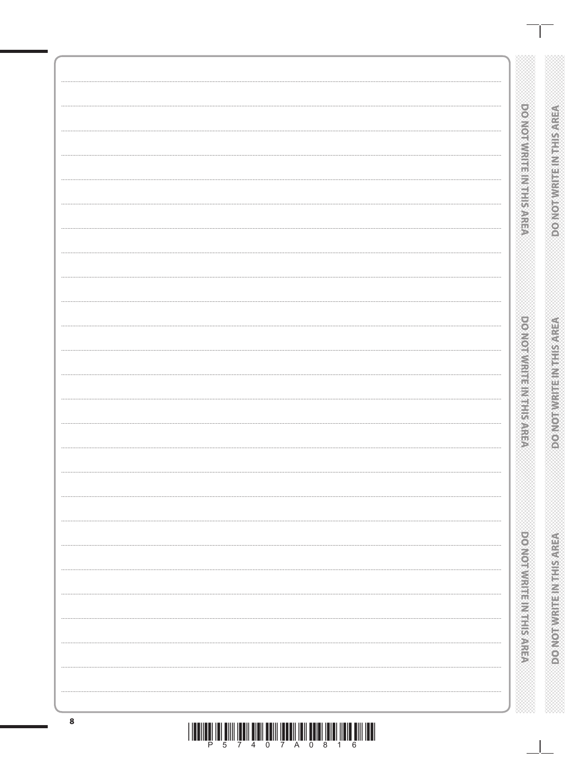| י <mark>בתוך תוכן תוכן, ונות</mark> והרבה והופך הבין הבין הופ ונו 4.<br>$\overline{4}$<br>7 A<br>$\overline{7}$<br>$\overline{A}$<br>$\cap$<br>8<br>$\cap$<br>Б.<br>6<br>P |  |
|----------------------------------------------------------------------------------------------------------------------------------------------------------------------------|--|

|  | <b>DOMORATION IN THE SAME OF SALE</b> |
|--|---------------------------------------|
|  |                                       |
|  |                                       |
|  |                                       |
|  |                                       |
|  |                                       |
|  |                                       |
|  |                                       |
|  |                                       |
|  |                                       |
|  |                                       |
|  |                                       |
|  |                                       |
|  |                                       |
|  |                                       |
|  |                                       |
|  |                                       |
|  |                                       |
|  |                                       |
|  |                                       |
|  |                                       |
|  |                                       |
|  |                                       |
|  |                                       |
|  |                                       |
|  |                                       |
|  |                                       |
|  |                                       |
|  |                                       |
|  |                                       |
|  |                                       |
|  | <b>POSTER AND RESIDENCE OF SALE</b>   |
|  |                                       |
|  |                                       |
|  |                                       |
|  |                                       |
|  |                                       |
|  |                                       |
|  |                                       |
|  |                                       |
|  |                                       |
|  |                                       |
|  |                                       |
|  |                                       |
|  |                                       |
|  |                                       |
|  |                                       |
|  |                                       |
|  |                                       |
|  |                                       |
|  |                                       |
|  |                                       |
|  |                                       |
|  |                                       |
|  |                                       |
|  |                                       |
|  |                                       |
|  |                                       |
|  |                                       |
|  |                                       |
|  |                                       |
|  |                                       |
|  | policination is a material            |
|  |                                       |
|  |                                       |
|  |                                       |
|  |                                       |

Ξ

**DONOT WRITEINTHIS AREA** 

**ASSIMISSIMES IN THE VIOLE** 

**PONOTWRITEIN THIS AREA**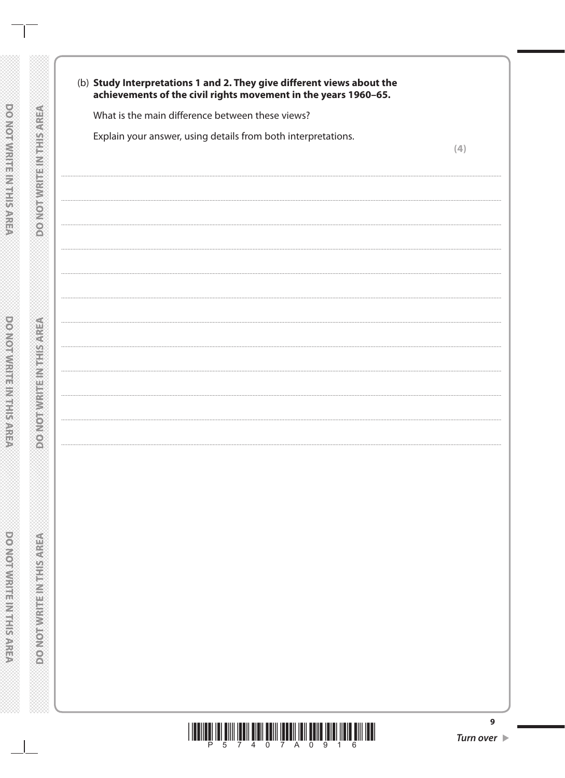| <u>                    </u><br>Ρ<br>0<br>Α<br>$\,0\,$<br>5<br>4<br>$\overline{7}$<br>9<br>7<br>1<br>6                                     | 9<br>Turn over 1                                              |
|-------------------------------------------------------------------------------------------------------------------------------------------|---------------------------------------------------------------|
|                                                                                                                                           |                                                               |
|                                                                                                                                           |                                                               |
|                                                                                                                                           |                                                               |
|                                                                                                                                           |                                                               |
|                                                                                                                                           |                                                               |
|                                                                                                                                           |                                                               |
|                                                                                                                                           |                                                               |
|                                                                                                                                           |                                                               |
|                                                                                                                                           |                                                               |
|                                                                                                                                           |                                                               |
|                                                                                                                                           |                                                               |
|                                                                                                                                           | (4)                                                           |
| What is the main difference between these views?                                                                                          |                                                               |
| (b) Study Interpretations 1 and 2. They give different views about the<br>achievements of the civil rights movement in the years 1960-65. |                                                               |
|                                                                                                                                           | Explain your answer, using details from both interpretations. |

 $\pm$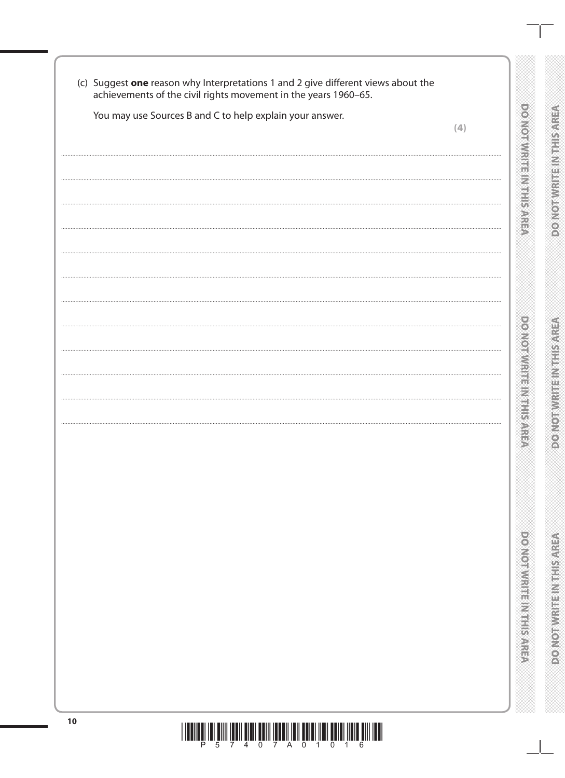| You may use Sources B and C to help explain your answer. | (4) |                                 |
|----------------------------------------------------------|-----|---------------------------------|
|                                                          |     | <b>DOMOTOMISE MARKETS</b>       |
|                                                          |     | <b>PONDORM IN PRESSURE SAFE</b> |
|                                                          |     | providentification is stated    |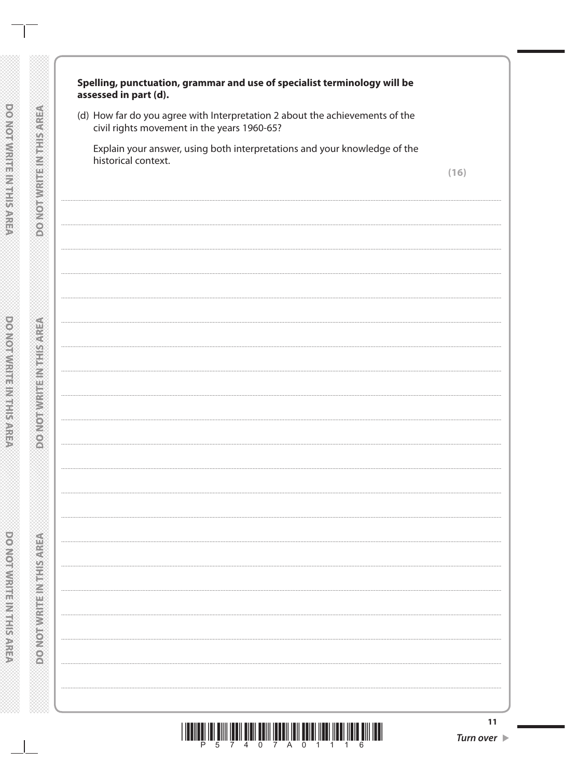| Spelling, punctuation, grammar and use of specialist terminology will be<br>assessed in part (d).                           |      |
|-----------------------------------------------------------------------------------------------------------------------------|------|
| (d) How far do you agree with Interpretation 2 about the achievements of the<br>civil rights movement in the years 1960-65? |      |
| Explain your answer, using both interpretations and your knowledge of the<br>historical context.                            |      |
|                                                                                                                             | (16) |
|                                                                                                                             |      |
|                                                                                                                             |      |
|                                                                                                                             |      |
|                                                                                                                             |      |
|                                                                                                                             |      |
|                                                                                                                             |      |
|                                                                                                                             |      |
|                                                                                                                             |      |
|                                                                                                                             |      |
|                                                                                                                             |      |
|                                                                                                                             |      |
|                                                                                                                             |      |
|                                                                                                                             |      |
|                                                                                                                             |      |
|                                                                                                                             |      |
|                                                                                                                             |      |
|                                                                                                                             |      |
|                                                                                                                             |      |
|                                                                                                                             | 11   |

 $\mathbb{R}$ 

**DOMOTIVE IN HER NEWS AREA** 

DOMOTWRITEINTHIS AREA

 $\Box$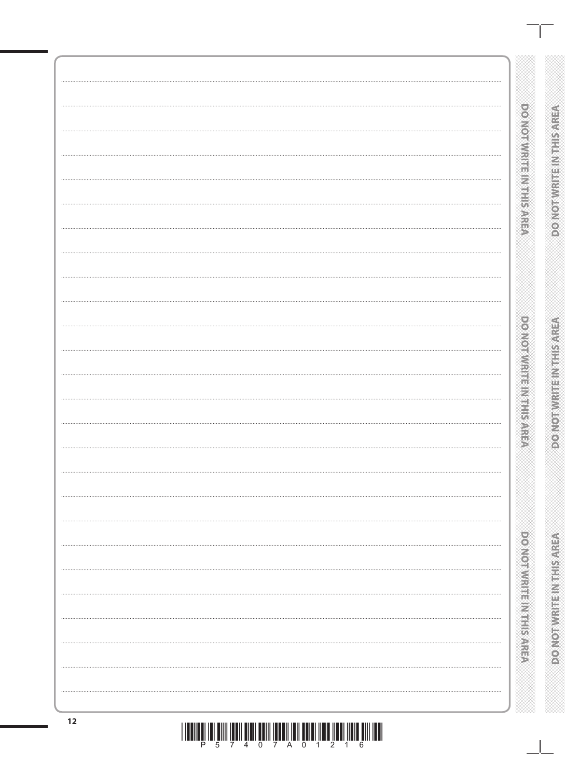|    | <b>DOMONTHEMENT PRESS</b>         |                                 |
|----|-----------------------------------|---------------------------------|
|    |                                   | <b>PONOMINIERING MOTORS</b>     |
|    |                                   |                                 |
|    |                                   |                                 |
|    |                                   |                                 |
|    |                                   |                                 |
|    |                                   |                                 |
|    |                                   |                                 |
|    |                                   |                                 |
|    |                                   |                                 |
|    |                                   |                                 |
|    |                                   |                                 |
|    |                                   |                                 |
|    |                                   |                                 |
|    | <b>PONDONNIA PROTECTION</b>       | <b>A CONSTRUCTION OF STREET</b> |
|    |                                   |                                 |
|    |                                   |                                 |
|    |                                   |                                 |
|    |                                   |                                 |
|    |                                   |                                 |
|    |                                   |                                 |
|    |                                   |                                 |
|    |                                   |                                 |
|    |                                   |                                 |
|    |                                   |                                 |
|    | providently at a participants and | <b>POINOT WRITEINITHS AREA</b>  |
|    |                                   |                                 |
|    |                                   |                                 |
| 12 |                                   |                                 |

 $\begin{array}{c} \text{if} \ \text{if} \ \text{if} \ \text{if} \ \text{if} \ \text{if} \ \text{if} \ \text{if} \ \text{if} \ \text{if} \ \text{if} \ \text{if} \ \text{if} \ \text{if} \ \text{if} \ \text{if} \ \text{if} \ \text{if} \ \text{if} \ \text{if} \ \text{if} \ \text{if} \ \text{if} \ \text{if} \ \text{if} \ \text{if} \ \text{if} \ \text{if} \ \text{if} \ \text{if} \ \text{if} \ \text{if} \ \text{if} \ \text{if} \ \text{if} \ \text{$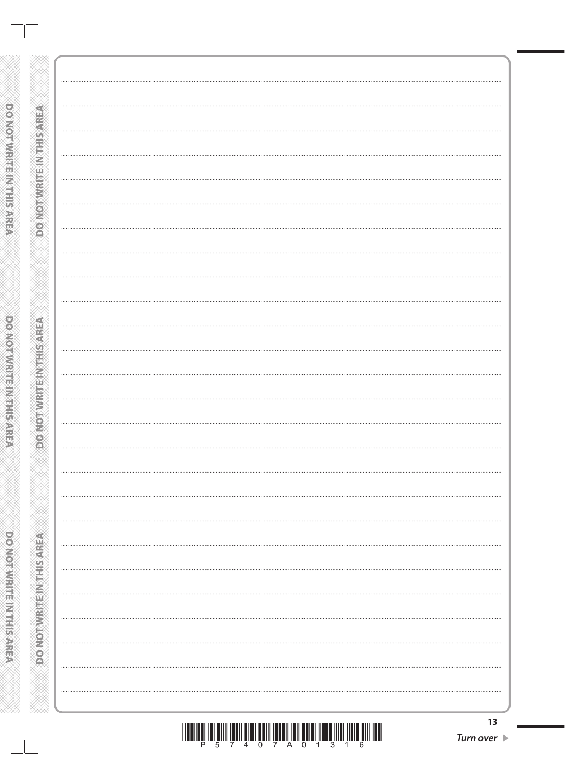| <br><br><br> |
|--------------|
|              |

a ka

 $\Box\Box$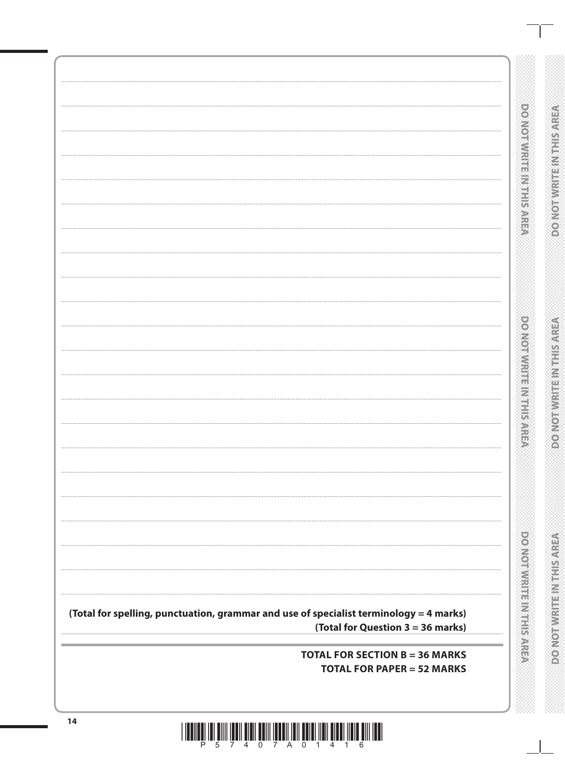| S                        |  |        |   |  |
|--------------------------|--|--------|---|--|
| ï                        |  |        |   |  |
|                          |  |        | 1 |  |
|                          |  |        |   |  |
| ı                        |  |        |   |  |
| $\ddot{\phantom{a}}$     |  | l<br>I |   |  |
|                          |  |        |   |  |
|                          |  |        |   |  |
|                          |  |        |   |  |
|                          |  |        |   |  |
| i<br>S                   |  | i      |   |  |
|                          |  |        |   |  |
|                          |  |        |   |  |
|                          |  |        |   |  |
|                          |  |        |   |  |
|                          |  | ì      |   |  |
|                          |  |        |   |  |
|                          |  | ì      |   |  |
|                          |  |        |   |  |
|                          |  | J      |   |  |
|                          |  |        |   |  |
|                          |  |        |   |  |
|                          |  |        |   |  |
|                          |  |        |   |  |
|                          |  | j      |   |  |
|                          |  |        |   |  |
|                          |  | İ      |   |  |
| $\overline{\phantom{a}}$ |  |        |   |  |
|                          |  | I      |   |  |
| į                        |  |        |   |  |
|                          |  | I      |   |  |
|                          |  |        |   |  |
| .<br>.<br>.              |  | ۱      |   |  |
|                          |  |        |   |  |
|                          |  | ĺ      |   |  |
|                          |  |        |   |  |
| $\ddot{\phantom{a}}$     |  | j      |   |  |
|                          |  | ł      |   |  |
|                          |  |        |   |  |
| $\overline{\phantom{a}}$ |  | j      |   |  |
|                          |  |        |   |  |
| j                        |  |        |   |  |
|                          |  |        |   |  |
| $\overline{\phantom{a}}$ |  |        |   |  |
|                          |  | Í      |   |  |
|                          |  |        |   |  |
|                          |  | ١      |   |  |
|                          |  |        |   |  |
|                          |  |        |   |  |
|                          |  |        |   |  |
|                          |  |        |   |  |
|                          |  | l      |   |  |
| i e                      |  |        |   |  |
|                          |  |        |   |  |
| .                        |  |        |   |  |
|                          |  |        |   |  |
|                          |  |        |   |  |
| ì                        |  |        |   |  |
|                          |  |        |   |  |
| ś                        |  |        |   |  |
|                          |  |        |   |  |

**DOMORATION ENTIRER** 

**DONOTWRITING SARE** 

**DONOTWIRES MILLION OF** 

(Total for spelling, punctuation, grammar and use of specialist terminology = 4 marks) (Total for Question 3 = 36 marks)

> **TOTAL FOR SECTION B = 36 MARKS TOTAL FOR PAPER = 52 MARKS**

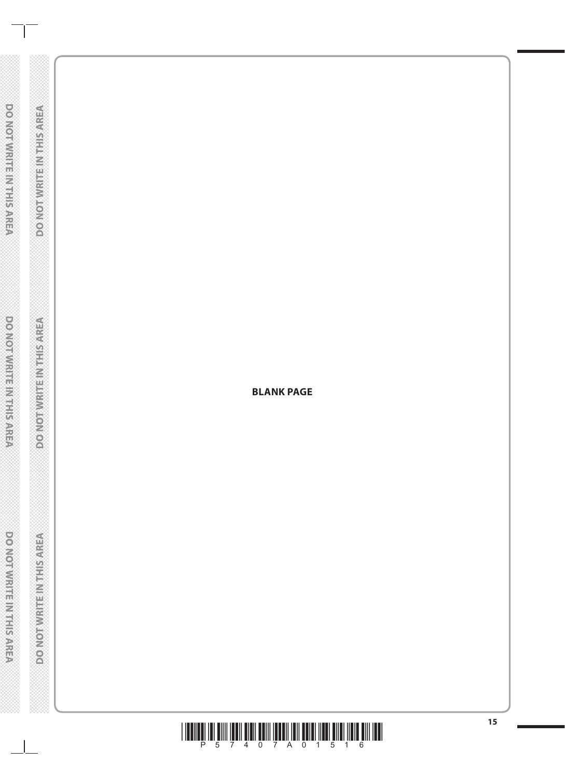$\sim 1$ 

**DO NOTWARE INTHIS AREA** 

**DO NOTAVALE INTERVERS** 

DO NOT WRITE IN THIS AREA

**BLANK PAGE**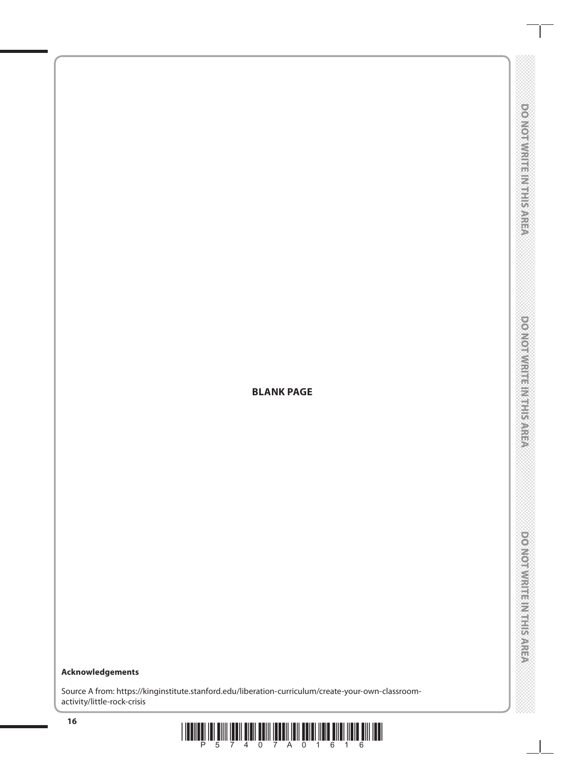## **Acknowledgements**

Source A from: https://kinginstitute.stanford.edu/liberation-curriculum/create-your-own-classroomactivity/little-rock-crisis



**BLANK PAGE**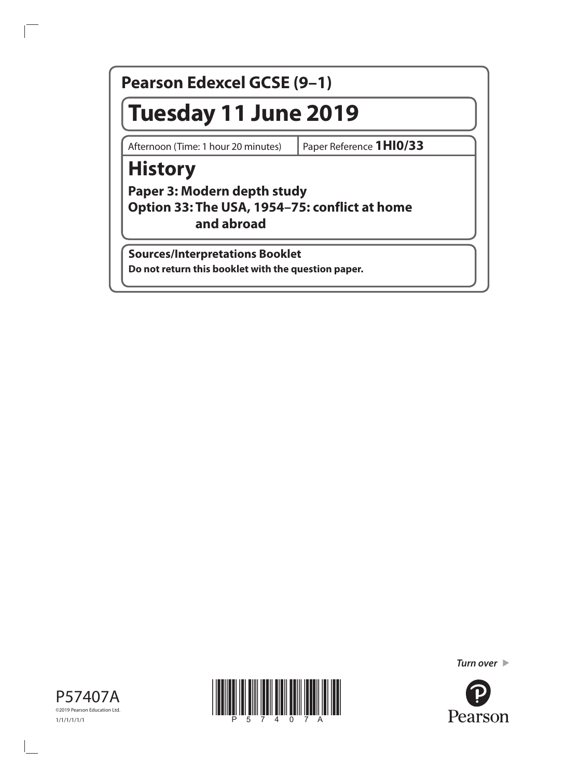### **Pearson Edexcel GCSE (9–1)**

# **Tuesday 11 June 2019**

Afternoon (Time: 1 hour 20 minutes) Paper Reference **1HI0/33**

# **History**

**Paper 3: Modern depth study Option 33: The USA, 1954–75: conflict at home and abroad**

**Sources/Interpretations Booklet**

**Do not return this booklet with the question paper.**







*Turn over*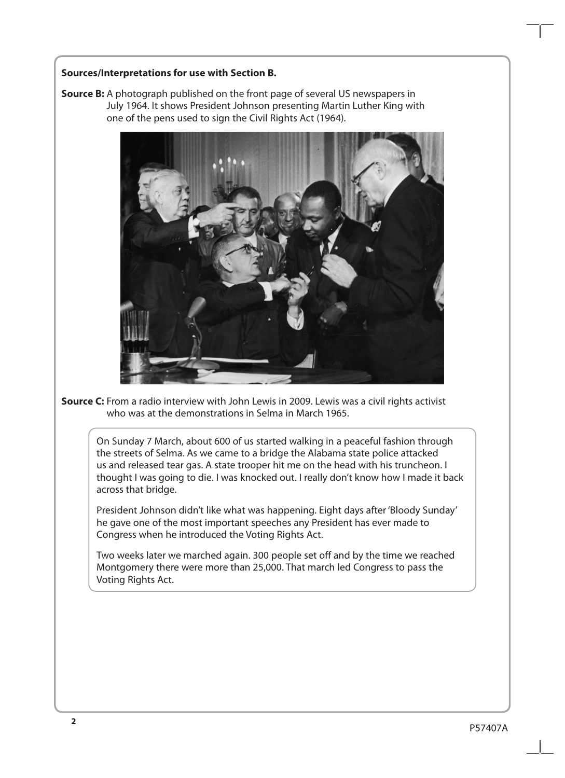#### **Sources/Interpretations for use with Section B.**

**Source B:** A photograph published on the front page of several US newspapers in July 1964. It shows President Johnson presenting Martin Luther King with one of the pens used to sign the Civil Rights Act (1964).



**Source C:** From a radio interview with John Lewis in 2009. Lewis was a civil rights activist who was at the demonstrations in Selma in March 1965.

On Sunday 7 March, about 600 of us started walking in a peaceful fashion through the streets of Selma. As we came to a bridge the Alabama state police attacked us and released tear gas. A state trooper hit me on the head with his truncheon. I thought I was going to die. I was knocked out. I really don't know how I made it back across that bridge.

President Johnson didn't like what was happening. Eight days after 'Bloody Sunday' he gave one of the most important speeches any President has ever made to Congress when he introduced the Voting Rights Act.

Two weeks later we marched again. 300 people set off and by the time we reached Montgomery there were more than 25,000. That march led Congress to pass the Voting Rights Act.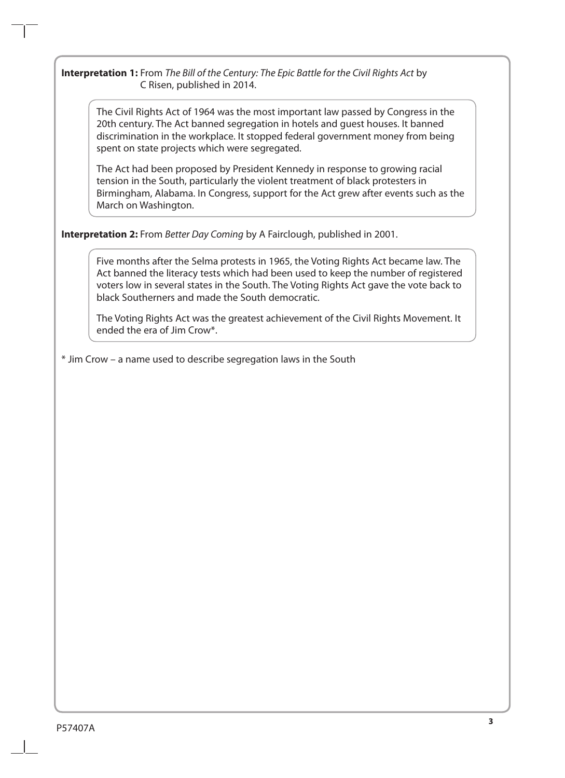**Interpretation 1:** From *The Bill of the Century: The Epic Battle for the Civil Rights Act* by C Risen, published in 2014.

The Civil Rights Act of 1964 was the most important law passed by Congress in the 20th century. The Act banned segregation in hotels and guest houses. It banned discrimination in the workplace. It stopped federal government money from being spent on state projects which were segregated.

The Act had been proposed by President Kennedy in response to growing racial tension in the South, particularly the violent treatment of black protesters in Birmingham, Alabama. In Congress, support for the Act grew after events such as the March on Washington.

**Interpretation 2:** From *Better Day Coming* by A Fairclough, published in 2001.

Five months after the Selma protests in 1965, the Voting Rights Act became law. The Act banned the literacy tests which had been used to keep the number of registered voters low in several states in the South. The Voting Rights Act gave the vote back to black Southerners and made the South democratic.

The Voting Rights Act was the greatest achievement of the Civil Rights Movement. It ended the era of Jim Crow\*

\* Jim Crow – a name used to describe segregation laws in the South